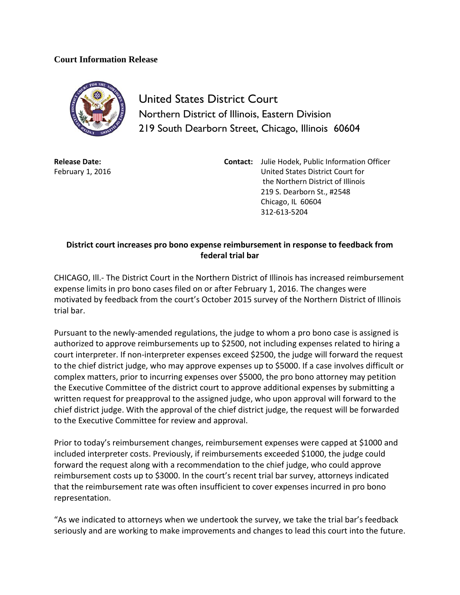## **Court Information Release**



United States District Court Northern District of Illinois, Eastern Division 219 South Dearborn Street, Chicago, Illinois 60604

**Release Date:** February 1, 2016 **Contact:** Julie Hodek, Public Information Officer United States District Court for the Northern District of Illinois 219 S. Dearborn St., #2548 Chicago, IL 60604 312-613-5204

## **District court increases pro bono expense reimbursement in response to feedback from federal trial bar**

CHICAGO, Ill.- The District Court in the Northern District of Illinois has increased reimbursement expense limits in pro bono cases filed on or after February 1, 2016. The changes were motivated by feedback from the court's October 2015 survey of the Northern District of Illinois trial bar.

Pursuant to the newly-amended regulations, the judge to whom a pro bono case is assigned is authorized to approve reimbursements up to \$2500, not including expenses related to hiring a court interpreter. If non-interpreter expenses exceed \$2500, the judge will forward the request to the chief district judge, who may approve expenses up to \$5000. If a case involves difficult or complex matters, prior to incurring expenses over \$5000, the pro bono attorney may petition the Executive Committee of the district court to approve additional expenses by submitting a written request for preapproval to the assigned judge, who upon approval will forward to the chief district judge. With the approval of the chief district judge, the request will be forwarded to the Executive Committee for review and approval.

Prior to today's reimbursement changes, reimbursement expenses were capped at \$1000 and included interpreter costs. Previously, if reimbursements exceeded \$1000, the judge could forward the request along with a recommendation to the chief judge, who could approve reimbursement costs up to \$3000. In the court's recent trial bar survey, attorneys indicated that the reimbursement rate was often insufficient to cover expenses incurred in pro bono representation.

"As we indicated to attorneys when we undertook the survey, we take the trial bar's feedback seriously and are working to make improvements and changes to lead this court into the future.